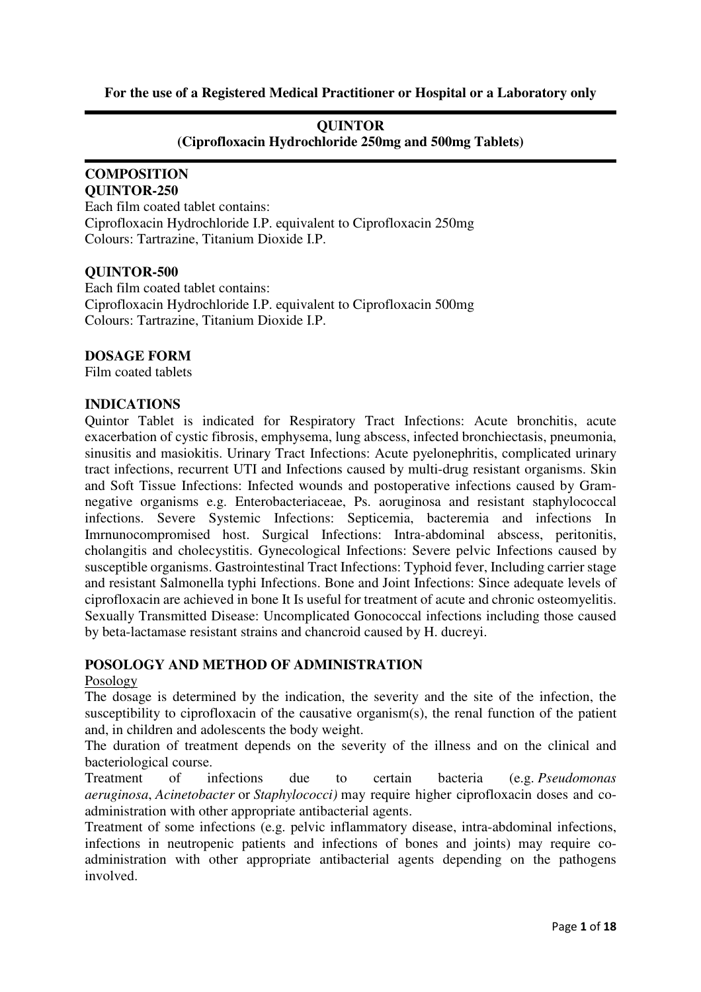## **For the use of a Registered Medical Practitioner or Hospital or a Laboratory only**

### **QUINTOR**

**(Ciprofloxacin Hydrochloride 250mg and 500mg Tablets)** 

#### **COMPOSITION QUINTOR-250**

Each film coated tablet contains: Ciprofloxacin Hydrochloride I.P. equivalent to Ciprofloxacin 250mg Colours: Tartrazine, Titanium Dioxide I.P.

## **QUINTOR-500**

Each film coated tablet contains: Ciprofloxacin Hydrochloride I.P. equivalent to Ciprofloxacin 500mg Colours: Tartrazine, Titanium Dioxide I.P.

## **DOSAGE FORM**

Film coated tablets

## **INDICATIONS**

Quintor Tablet is indicated for Respiratory Tract Infections: Acute bronchitis, acute exacerbation of cystic fibrosis, emphysema, lung abscess, infected bronchiectasis, pneumonia, sinusitis and masiokitis. Urinary Tract Infections: Acute pyelonephritis, complicated urinary tract infections, recurrent UTI and Infections caused by multi-drug resistant organisms. Skin and Soft Tissue Infections: Infected wounds and postoperative infections caused by Gramnegative organisms e.g. Enterobacteriaceae, Ps. aoruginosa and resistant staphylococcal infections. Severe Systemic Infections: Septicemia, bacteremia and infections In Imrnunocompromised host. Surgical Infections: Intra-abdominal abscess, peritonitis, cholangitis and cholecystitis. Gynecological Infections: Severe pelvic Infections caused by susceptible organisms. Gastrointestinal Tract Infections: Typhoid fever, Including carrier stage and resistant Salmonella typhi Infections. Bone and Joint Infections: Since adequate levels of ciprofloxacin are achieved in bone It Is useful for treatment of acute and chronic osteomyelitis. Sexually Transmitted Disease: Uncomplicated Gonococcal infections including those caused by beta-lactamase resistant strains and chancroid caused by H. ducreyi.

## **POSOLOGY AND METHOD OF ADMINISTRATION**

#### Posology

The dosage is determined by the indication, the severity and the site of the infection, the susceptibility to ciprofloxacin of the causative organism(s), the renal function of the patient and, in children and adolescents the body weight.

The duration of treatment depends on the severity of the illness and on the clinical and bacteriological course.

Treatment of infections due to certain bacteria (e.g. *Pseudomonas aeruginosa*, *Acinetobacter* or *Staphylococci)* may require higher ciprofloxacin doses and coadministration with other appropriate antibacterial agents.

Treatment of some infections (e.g. pelvic inflammatory disease, intra-abdominal infections, infections in neutropenic patients and infections of bones and joints) may require coadministration with other appropriate antibacterial agents depending on the pathogens involved.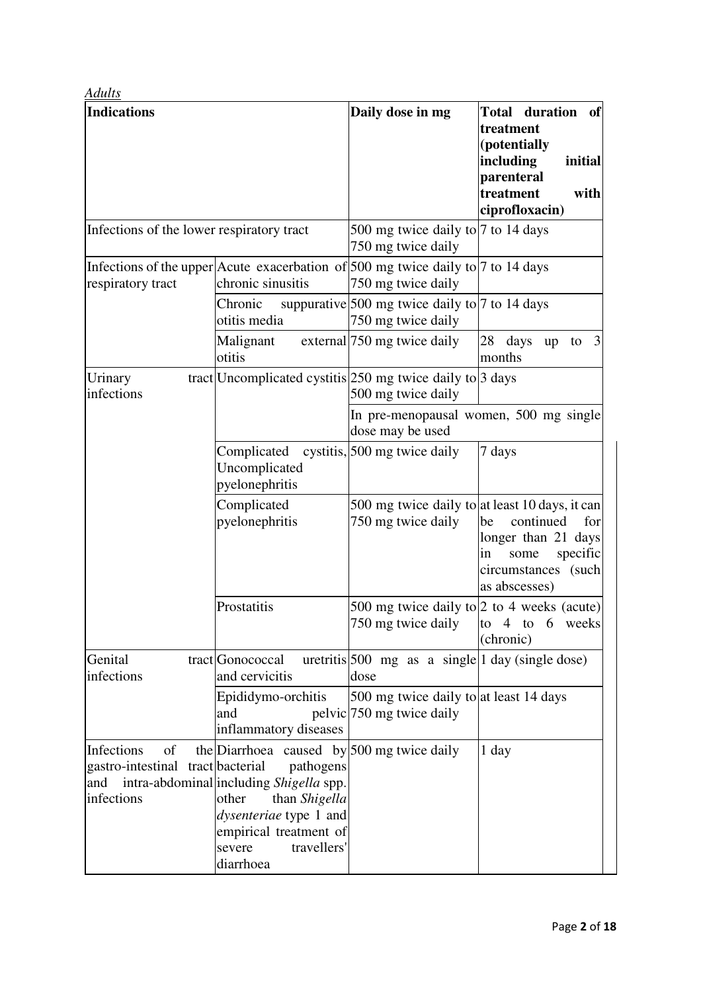| <b>Adults</b>                                                       |                                                                                                                                                                                                                                   |                                                                                                   |                                                                                                                                |  |
|---------------------------------------------------------------------|-----------------------------------------------------------------------------------------------------------------------------------------------------------------------------------------------------------------------------------|---------------------------------------------------------------------------------------------------|--------------------------------------------------------------------------------------------------------------------------------|--|
| <b>Indications</b>                                                  |                                                                                                                                                                                                                                   | Daily dose in mg                                                                                  | Total duration<br>of<br>treatment<br>(potentially<br>including<br>initial<br>parenteral<br>treatment<br>with<br>ciprofloxacin) |  |
| Infections of the lower respiratory tract                           |                                                                                                                                                                                                                                   | 500 mg twice daily to 7 to 14 days<br>750 mg twice daily                                          |                                                                                                                                |  |
| respiratory tract                                                   | Infections of the upper Acute exacerbation of $500$ mg twice daily to $7$ to 14 days<br>chronic sinusitis                                                                                                                         | 750 mg twice daily                                                                                |                                                                                                                                |  |
|                                                                     | Chronic<br>otitis media                                                                                                                                                                                                           | suppurative $500 \text{ mg}$ twice daily to $7 \text{ to } 14 \text{ days}$<br>750 mg twice daily |                                                                                                                                |  |
|                                                                     | Malignant<br>otitis                                                                                                                                                                                                               | external [750 mg twice daily                                                                      | 3<br>28 days<br>up<br>to<br>months                                                                                             |  |
| Urinary<br>infections                                               | tract Uncomplicated cystitis $250$ mg twice daily to 3 days                                                                                                                                                                       | 500 mg twice daily                                                                                |                                                                                                                                |  |
|                                                                     |                                                                                                                                                                                                                                   | In pre-menopausal women, 500 mg single<br>dose may be used                                        |                                                                                                                                |  |
|                                                                     | Complicated cystitis, 500 mg twice daily<br>Uncomplicated<br>pyelonephritis                                                                                                                                                       |                                                                                                   | 7 days                                                                                                                         |  |
|                                                                     | Complicated<br>pyelonephritis                                                                                                                                                                                                     | 500 mg twice daily to at least 10 days, it can<br>750 mg twice daily                              | continued<br>for<br>be<br>longer than 21 days<br>in<br>specific<br>some<br>circumstances (such<br>as abscesses)                |  |
|                                                                     | Prostatitis                                                                                                                                                                                                                       | 500 mg twice daily to 2 to 4 weeks (acute)<br>750 mg twice daily                                  | to 4 to 6 weeks<br>(chronic)                                                                                                   |  |
| Genital<br>infections                                               | tract Gonococcal<br>and cervicitis                                                                                                                                                                                                | uretritis 500 mg as a single $ 1 \text{ day}$ (single dose)<br>dose                               |                                                                                                                                |  |
|                                                                     | Epididymo-orchitis<br>and<br>inflammatory diseases                                                                                                                                                                                | 500 mg twice daily to at least 14 days<br>pelvic 750 mg twice daily                               |                                                                                                                                |  |
| Infections<br>of<br>gastro-intestinal tract bacterial<br>infections | the Diarrhoea caused by 500 mg twice daily<br>pathogens<br>and intra-abdominal including Shigella spp.<br>other<br>than Shigella<br><i>dysenteriae</i> type 1 and<br>empirical treatment of<br>severe<br>travellers'<br>diarrhoea |                                                                                                   | 1 day                                                                                                                          |  |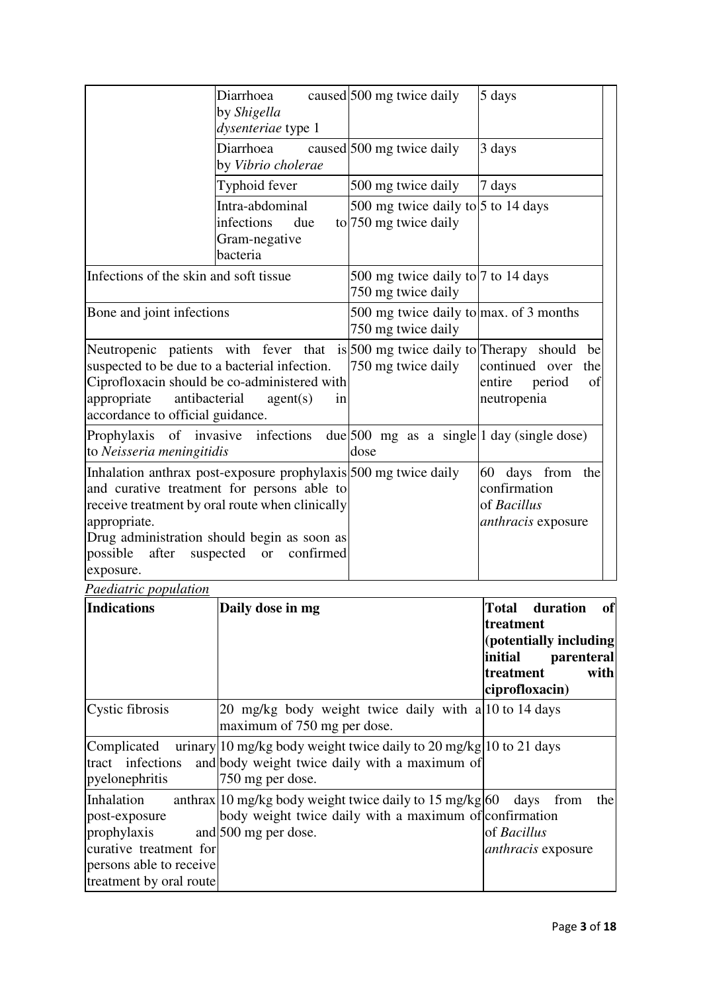| Diarrhoea<br>by Shigella<br>dysenteriae type 1                                                                                                                                                                                                                                           |           |      | caused 500 mg twice daily | 5 days                                                                |                 |
|------------------------------------------------------------------------------------------------------------------------------------------------------------------------------------------------------------------------------------------------------------------------------------------|-----------|------|---------------------------|-----------------------------------------------------------------------|-----------------|
| Diarrhoea<br>by Vibrio cholerae                                                                                                                                                                                                                                                          |           |      | caused 500 mg twice daily | 3 days                                                                |                 |
| Typhoid fever                                                                                                                                                                                                                                                                            |           |      | 500 mg twice daily        | 7 days                                                                |                 |
| Intra-abdominal<br>infections<br>Gram-negative<br>bacteria                                                                                                                                                                                                                               | due       |      | to 750 mg twice daily     | 500 mg twice daily to $ 5$ to 14 days                                 |                 |
| Infections of the skin and soft tissue                                                                                                                                                                                                                                                   |           |      | 750 mg twice daily        | 500 mg twice daily to 7 to 14 days                                    |                 |
| Bone and joint infections                                                                                                                                                                                                                                                                |           |      | 750 mg twice daily        | 500 mg twice daily to $\max$ . of 3 months                            |                 |
| Neutropenic patients with fever that is 500 mg twice daily to Therapy should<br>suspected to be due to a bacterial infection.<br>Ciprofloxacin should be co-administered with<br>antibacterial<br>appropriate<br>agent(s)<br>accordance to official guidance.                            | in        |      | 750 mg twice daily        | continued over<br>entire<br>period<br>neutropenia                     | be<br>the<br>of |
| infections<br>Prophylaxis of invasive<br>to Neisseria meningitidis                                                                                                                                                                                                                       |           | dose |                           | $ E $ due 500 mg as a single 1 day (single dose)                      |                 |
| Inhalation anthrax post-exposure prophylaxis 500 mg twice daily<br>and curative treatment for persons able to<br>receive treatment by oral route when clinically<br>appropriate.<br>Drug administration should begin as soon as<br>possible after<br>suspected<br><b>or</b><br>exposure. | confirmed |      |                           | 60 days from the<br>confirmation<br>of Bacillus<br>anthracis exposure |                 |

*Paediatric population*

| <b>Indications</b>                                                                                                         | Daily dose in mg                                                                                                                                             | of<br>Total duration<br>treatment<br>(potentially including<br>initial<br>parenteral<br>with<br>treatment<br>ciprofloxacin) |
|----------------------------------------------------------------------------------------------------------------------------|--------------------------------------------------------------------------------------------------------------------------------------------------------------|-----------------------------------------------------------------------------------------------------------------------------|
| Cystic fibrosis                                                                                                            | 20 mg/kg body weight twice daily with a 10 to 14 days<br>maximum of 750 mg per dose.                                                                         |                                                                                                                             |
| Complicated<br>tract infections<br>pyelonephritis                                                                          | urinary 10 mg/kg body weight twice daily to 20 mg/kg $ 10 \text{ to } 21 \text{ days} $<br>and body weight twice daily with a maximum of<br>750 mg per dose. |                                                                                                                             |
| Inhalation<br>post-exposure<br>prophylaxis<br>curative treatment for<br>persons able to receive<br>treatment by oral route | anthrax 10 mg/kg body weight twice daily to 15 mg/kg $60$<br>body weight twice daily with a maximum of confirmation<br>and 500 mg per dose.                  | days<br>the<br>from<br>of <i>Bacillus</i><br><i>anthracis</i> exposure                                                      |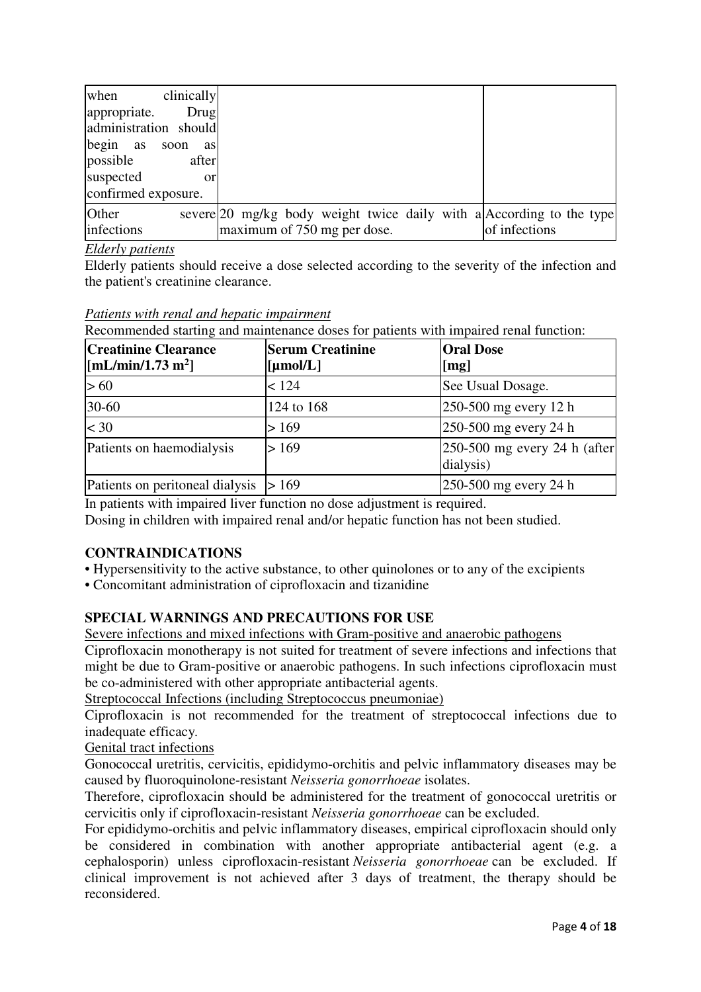| clinically<br>when<br>appropriate.<br>Drug<br>administration should<br>begin as<br>soon<br>as<br>possible<br>after<br>suspected<br><b>or</b> |                                                                                                     |               |
|----------------------------------------------------------------------------------------------------------------------------------------------|-----------------------------------------------------------------------------------------------------|---------------|
| confirmed exposure.                                                                                                                          |                                                                                                     |               |
| Other<br>infections                                                                                                                          | severe 20 mg/kg body weight twice daily with a According to the type<br>maximum of 750 mg per dose. | of infections |

## *Elderly patients*

Elderly patients should receive a dose selected according to the severity of the infection and the patient's creatinine clearance.

*Patients with renal and hepatic impairment*

| $\sim$ $\sim$ $\sim$ |  |                                            |  |  |  |                                                                                       |
|----------------------|--|--------------------------------------------|--|--|--|---------------------------------------------------------------------------------------|
|                      |  |                                            |  |  |  | Recommended starting and maintenance doses for patients with impaired renal function: |
|                      |  | Pattents with renal and nepatic impairment |  |  |  |                                                                                       |

| <b>Creatinine Clearance</b><br>$\left[\text{mL/min}/1.73 \text{ m}^2\right]$ | <b>Serum Creatinine</b>         | <b>Oral Dose</b>                                      |
|------------------------------------------------------------------------------|---------------------------------|-------------------------------------------------------|
|                                                                              | $\lbrack \text{µmol/L} \rbrack$ | $\lceil \text{mg} \rceil$                             |
| >60                                                                          | < 124                           | See Usual Dosage.                                     |
| $30 - 60$                                                                    | 124 to 168                      | $ 250-500 \text{ mg}$ every 12 h                      |
| $<$ 30                                                                       | > 169                           | $ 250-500 \text{ mg}$ every 24 h                      |
| Patients on haemodialysis                                                    | > 169                           | $ 250-500 \text{ mg}$ every 24 h (after)<br>dialysis) |
| Patients on peritoneal dialysis $ > 169$                                     |                                 | $ 250-500 \text{ mg}$ every 24 h                      |

In patients with impaired liver function no dose adjustment is required.

Dosing in children with impaired renal and/or hepatic function has not been studied.

# **CONTRAINDICATIONS**

- Hypersensitivity to the active substance, to other quinolones or to any of the excipients
- Concomitant administration of ciprofloxacin and tizanidine

# **SPECIAL WARNINGS AND PRECAUTIONS FOR USE**

Severe infections and mixed infections with Gram-positive and anaerobic pathogens

Ciprofloxacin monotherapy is not suited for treatment of severe infections and infections that might be due to Gram-positive or anaerobic pathogens. In such infections ciprofloxacin must be co-administered with other appropriate antibacterial agents.

Streptococcal Infections (including Streptococcus pneumoniae)

Ciprofloxacin is not recommended for the treatment of streptococcal infections due to inadequate efficacy*.*

Genital tract infections

Gonococcal uretritis, cervicitis, epididymo-orchitis and pelvic inflammatory diseases may be caused by fluoroquinolone-resistant *Neisseria gonorrhoeae* isolates.

Therefore, ciprofloxacin should be administered for the treatment of gonococcal uretritis or cervicitis only if ciprofloxacin-resistant *Neisseria gonorrhoeae* can be excluded.

For epididymo-orchitis and pelvic inflammatory diseases, empirical ciprofloxacin should only be considered in combination with another appropriate antibacterial agent (e.g. a cephalosporin) unless ciprofloxacin-resistant *Neisseria gonorrhoeae* can be excluded. If clinical improvement is not achieved after 3 days of treatment, the therapy should be reconsidered.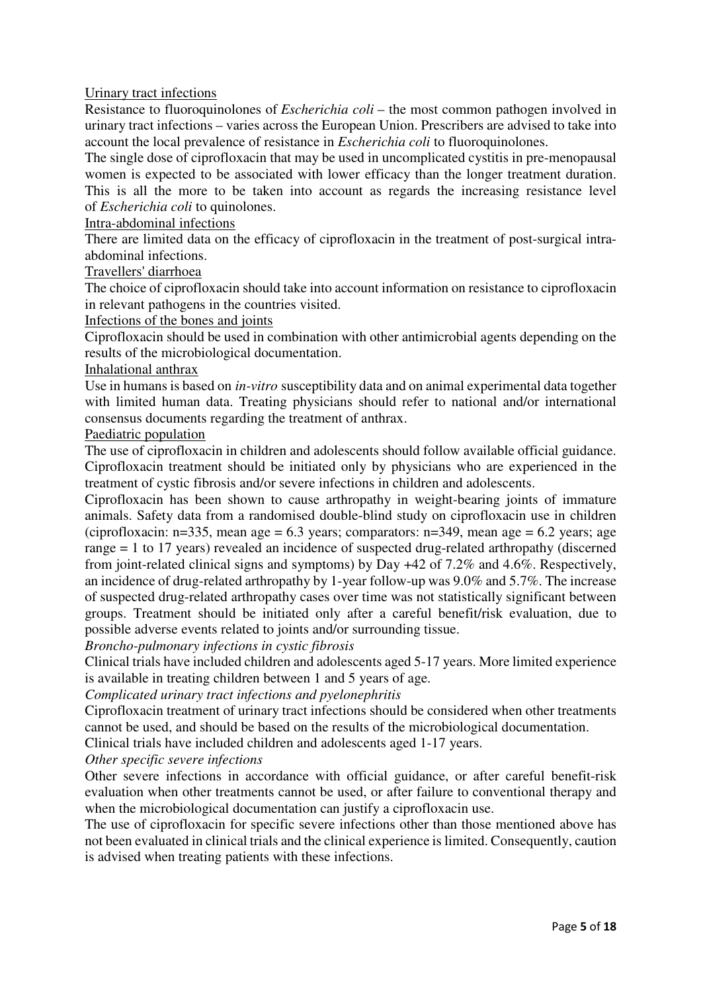## Urinary tract infections

Resistance to fluoroquinolones of *Escherichia coli* – the most common pathogen involved in urinary tract infections – varies across the European Union. Prescribers are advised to take into account the local prevalence of resistance in *Escherichia coli* to fluoroquinolones.

The single dose of ciprofloxacin that may be used in uncomplicated cystitis in pre-menopausal women is expected to be associated with lower efficacy than the longer treatment duration. This is all the more to be taken into account as regards the increasing resistance level of *Escherichia coli* to quinolones.

#### Intra-abdominal infections

There are limited data on the efficacy of ciprofloxacin in the treatment of post-surgical intraabdominal infections.

#### Travellers' diarrhoea

The choice of ciprofloxacin should take into account information on resistance to ciprofloxacin in relevant pathogens in the countries visited.

#### Infections of the bones and joints

Ciprofloxacin should be used in combination with other antimicrobial agents depending on the results of the microbiological documentation.

#### Inhalational anthrax

Use in humans is based on *in-vitro* susceptibility data and on animal experimental data together with limited human data. Treating physicians should refer to national and/or international consensus documents regarding the treatment of anthrax.

### Paediatric population

The use of ciprofloxacin in children and adolescents should follow available official guidance. Ciprofloxacin treatment should be initiated only by physicians who are experienced in the treatment of cystic fibrosis and/or severe infections in children and adolescents.

Ciprofloxacin has been shown to cause arthropathy in weight-bearing joints of immature animals. Safety data from a randomised double-blind study on ciprofloxacin use in children (ciprofloxacin:  $n=335$ , mean age = 6.3 years; comparators:  $n=349$ , mean age = 6.2 years; age range = 1 to 17 years) revealed an incidence of suspected drug-related arthropathy (discerned from joint-related clinical signs and symptoms) by Day +42 of 7.2% and 4.6%. Respectively, an incidence of drug-related arthropathy by 1-year follow-up was 9.0% and 5.7%. The increase of suspected drug-related arthropathy cases over time was not statistically significant between groups. Treatment should be initiated only after a careful benefit/risk evaluation, due to possible adverse events related to joints and/or surrounding tissue.

*Broncho-pulmonary infections in cystic fibrosis*

Clinical trials have included children and adolescents aged 5-17 years. More limited experience is available in treating children between 1 and 5 years of age.

## *Complicated urinary tract infections and pyelonephritis*

Ciprofloxacin treatment of urinary tract infections should be considered when other treatments cannot be used, and should be based on the results of the microbiological documentation.

Clinical trials have included children and adolescents aged 1-17 years.

## *Other specific severe infections*

Other severe infections in accordance with official guidance, or after careful benefit-risk evaluation when other treatments cannot be used, or after failure to conventional therapy and when the microbiological documentation can justify a ciprofloxacin use.

The use of ciprofloxacin for specific severe infections other than those mentioned above has not been evaluated in clinical trials and the clinical experience is limited. Consequently, caution is advised when treating patients with these infections.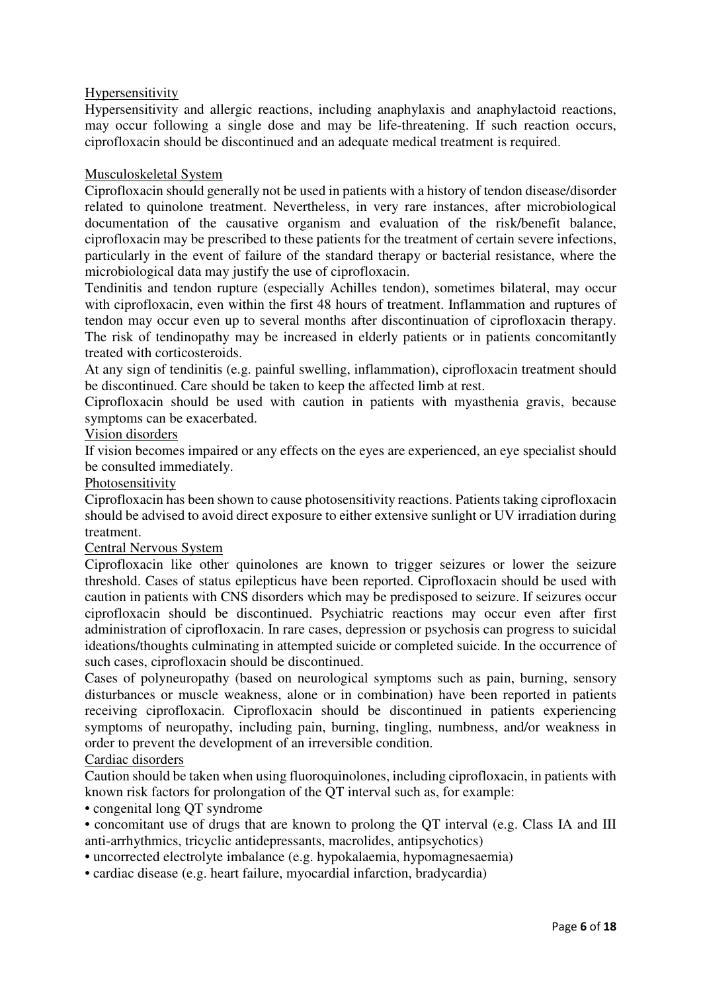## Hypersensitivity

Hypersensitivity and allergic reactions, including anaphylaxis and anaphylactoid reactions, may occur following a single dose and may be life-threatening. If such reaction occurs, ciprofloxacin should be discontinued and an adequate medical treatment is required.

## Musculoskeletal System

Ciprofloxacin should generally not be used in patients with a history of tendon disease/disorder related to quinolone treatment. Nevertheless, in very rare instances, after microbiological documentation of the causative organism and evaluation of the risk/benefit balance, ciprofloxacin may be prescribed to these patients for the treatment of certain severe infections, particularly in the event of failure of the standard therapy or bacterial resistance, where the microbiological data may justify the use of ciprofloxacin.

Tendinitis and tendon rupture (especially Achilles tendon), sometimes bilateral, may occur with ciprofloxacin, even within the first 48 hours of treatment. Inflammation and ruptures of tendon may occur even up to several months after discontinuation of ciprofloxacin therapy. The risk of tendinopathy may be increased in elderly patients or in patients concomitantly treated with corticosteroids.

At any sign of tendinitis (e.g. painful swelling, inflammation), ciprofloxacin treatment should be discontinued. Care should be taken to keep the affected limb at rest.

Ciprofloxacin should be used with caution in patients with myasthenia gravis, because symptoms can be exacerbated.

## Vision disorders

If vision becomes impaired or any effects on the eyes are experienced, an eye specialist should be consulted immediately.

## Photosensitivity

Ciprofloxacin has been shown to cause photosensitivity reactions. Patients taking ciprofloxacin should be advised to avoid direct exposure to either extensive sunlight or UV irradiation during treatment.

## Central Nervous System

Ciprofloxacin like other quinolones are known to trigger seizures or lower the seizure threshold. Cases of status epilepticus have been reported. Ciprofloxacin should be used with caution in patients with CNS disorders which may be predisposed to seizure. If seizures occur ciprofloxacin should be discontinued. Psychiatric reactions may occur even after first administration of ciprofloxacin. In rare cases, depression or psychosis can progress to suicidal ideations/thoughts culminating in attempted suicide or completed suicide. In the occurrence of such cases, ciprofloxacin should be discontinued.

Cases of polyneuropathy (based on neurological symptoms such as pain, burning, sensory disturbances or muscle weakness, alone or in combination) have been reported in patients receiving ciprofloxacin. Ciprofloxacin should be discontinued in patients experiencing symptoms of neuropathy, including pain, burning, tingling, numbness, and/or weakness in order to prevent the development of an irreversible condition.

## Cardiac disorders

Caution should be taken when using fluoroquinolones, including ciprofloxacin, in patients with known risk factors for prolongation of the QT interval such as, for example:

• congenital long QT syndrome

• concomitant use of drugs that are known to prolong the QT interval (e.g. Class IA and III anti-arrhythmics, tricyclic antidepressants, macrolides, antipsychotics)

• uncorrected electrolyte imbalance (e.g. hypokalaemia, hypomagnesaemia)

• cardiac disease (e.g. heart failure, myocardial infarction, bradycardia)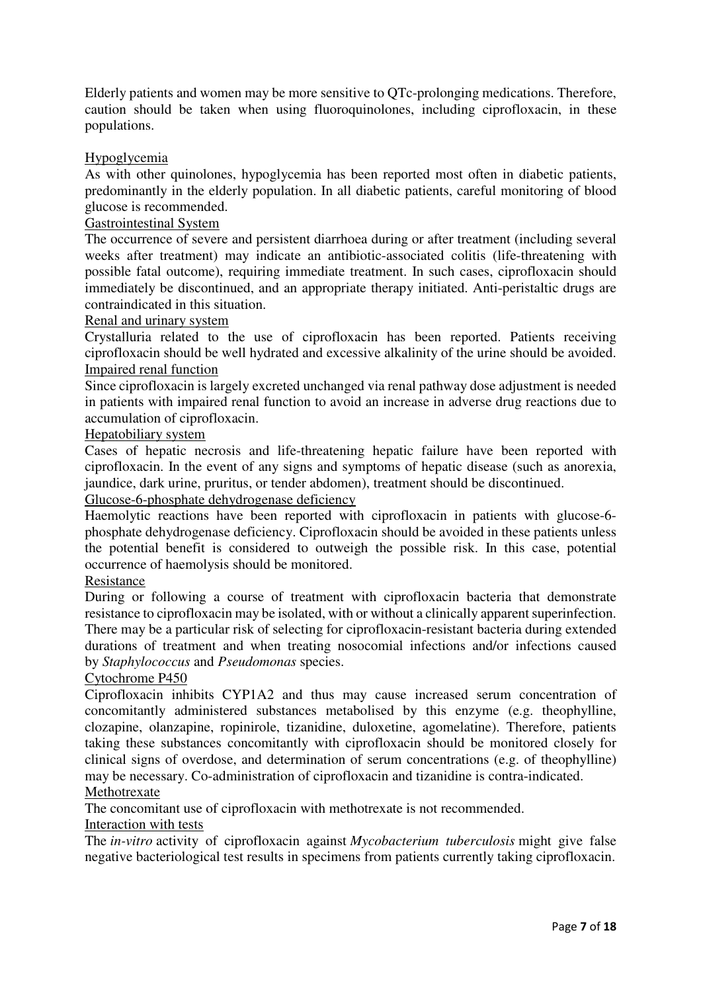Elderly patients and women may be more sensitive to QTc-prolonging medications. Therefore, caution should be taken when using fluoroquinolones, including ciprofloxacin, in these populations.

## Hypoglycemia

As with other quinolones, hypoglycemia has been reported most often in diabetic patients, predominantly in the elderly population. In all diabetic patients, careful monitoring of blood glucose is recommended.

## Gastrointestinal System

The occurrence of severe and persistent diarrhoea during or after treatment (including several weeks after treatment) may indicate an antibiotic-associated colitis (life-threatening with possible fatal outcome), requiring immediate treatment. In such cases, ciprofloxacin should immediately be discontinued, and an appropriate therapy initiated. Anti-peristaltic drugs are contraindicated in this situation.

## Renal and urinary system

Crystalluria related to the use of ciprofloxacin has been reported. Patients receiving ciprofloxacin should be well hydrated and excessive alkalinity of the urine should be avoided. Impaired renal function

Since ciprofloxacin is largely excreted unchanged via renal pathway dose adjustment is needed in patients with impaired renal function to avoid an increase in adverse drug reactions due to accumulation of ciprofloxacin.

## Hepatobiliary system

Cases of hepatic necrosis and life-threatening hepatic failure have been reported with ciprofloxacin. In the event of any signs and symptoms of hepatic disease (such as anorexia, jaundice, dark urine, pruritus, or tender abdomen), treatment should be discontinued.

## Glucose-6-phosphate dehydrogenase deficiency

Haemolytic reactions have been reported with ciprofloxacin in patients with glucose-6 phosphate dehydrogenase deficiency. Ciprofloxacin should be avoided in these patients unless the potential benefit is considered to outweigh the possible risk. In this case, potential occurrence of haemolysis should be monitored.

### Resistance

During or following a course of treatment with ciprofloxacin bacteria that demonstrate resistance to ciprofloxacin may be isolated, with or without a clinically apparent superinfection. There may be a particular risk of selecting for ciprofloxacin-resistant bacteria during extended durations of treatment and when treating nosocomial infections and/or infections caused by *Staphylococcus* and *Pseudomonas* species.

## Cytochrome P450

Ciprofloxacin inhibits CYP1A2 and thus may cause increased serum concentration of concomitantly administered substances metabolised by this enzyme (e.g. theophylline, clozapine, olanzapine, ropinirole, tizanidine, duloxetine, agomelatine). Therefore, patients taking these substances concomitantly with ciprofloxacin should be monitored closely for clinical signs of overdose, and determination of serum concentrations (e.g. of theophylline) may be necessary. Co-administration of ciprofloxacin and tizanidine is contra-indicated.

### Methotrexate

The concomitant use of ciprofloxacin with methotrexate is not recommended.

#### Interaction with tests

The *in-vitro* activity of ciprofloxacin against *Mycobacterium tuberculosis* might give false negative bacteriological test results in specimens from patients currently taking ciprofloxacin.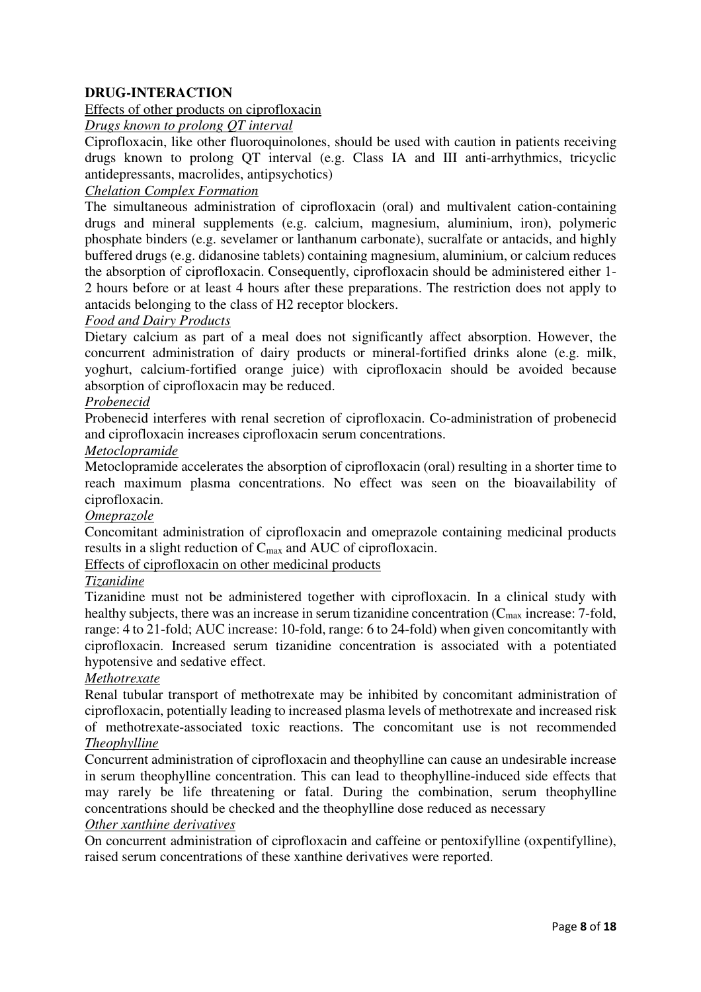## **DRUG-INTERACTION**

### Effects of other products on ciprofloxacin

*Drugs known to prolong QT interval*

Ciprofloxacin, like other fluoroquinolones, should be used with caution in patients receiving drugs known to prolong QT interval (e.g. Class IA and III anti-arrhythmics, tricyclic antidepressants, macrolides, antipsychotics)

## *Chelation Complex Formation*

The simultaneous administration of ciprofloxacin (oral) and multivalent cation-containing drugs and mineral supplements (e.g. calcium, magnesium, aluminium, iron), polymeric phosphate binders (e.g. sevelamer or lanthanum carbonate), sucralfate or antacids, and highly buffered drugs (e.g. didanosine tablets) containing magnesium, aluminium, or calcium reduces the absorption of ciprofloxacin. Consequently, ciprofloxacin should be administered either 1- 2 hours before or at least 4 hours after these preparations. The restriction does not apply to antacids belonging to the class of H2 receptor blockers.

#### *Food and Dairy Products*

Dietary calcium as part of a meal does not significantly affect absorption. However, the concurrent administration of dairy products or mineral-fortified drinks alone (e.g. milk, yoghurt, calcium-fortified orange juice) with ciprofloxacin should be avoided because absorption of ciprofloxacin may be reduced.

#### *Probenecid*

Probenecid interferes with renal secretion of ciprofloxacin. Co-administration of probenecid and ciprofloxacin increases ciprofloxacin serum concentrations.

#### *Metoclopramide*

Metoclopramide accelerates the absorption of ciprofloxacin (oral) resulting in a shorter time to reach maximum plasma concentrations. No effect was seen on the bioavailability of ciprofloxacin.

## *Omeprazole*

Concomitant administration of ciprofloxacin and omeprazole containing medicinal products results in a slight reduction of Cmax and AUC of ciprofloxacin.

Effects of ciprofloxacin on other medicinal products

## *Tizanidine*

Tizanidine must not be administered together with ciprofloxacin. In a clinical study with healthy subjects, there was an increase in serum tizanidine concentration (C<sub>max</sub> increase: 7-fold, range: 4 to 21-fold; AUC increase: 10-fold, range: 6 to 24-fold) when given concomitantly with ciprofloxacin. Increased serum tizanidine concentration is associated with a potentiated hypotensive and sedative effect.

#### *Methotrexate*

Renal tubular transport of methotrexate may be inhibited by concomitant administration of ciprofloxacin, potentially leading to increased plasma levels of methotrexate and increased risk of methotrexate-associated toxic reactions. The concomitant use is not recommended *Theophylline*

Concurrent administration of ciprofloxacin and theophylline can cause an undesirable increase in serum theophylline concentration. This can lead to theophylline-induced side effects that may rarely be life threatening or fatal. During the combination, serum theophylline concentrations should be checked and the theophylline dose reduced as necessary

## *Other xanthine derivatives*

On concurrent administration of ciprofloxacin and caffeine or pentoxifylline (oxpentifylline), raised serum concentrations of these xanthine derivatives were reported.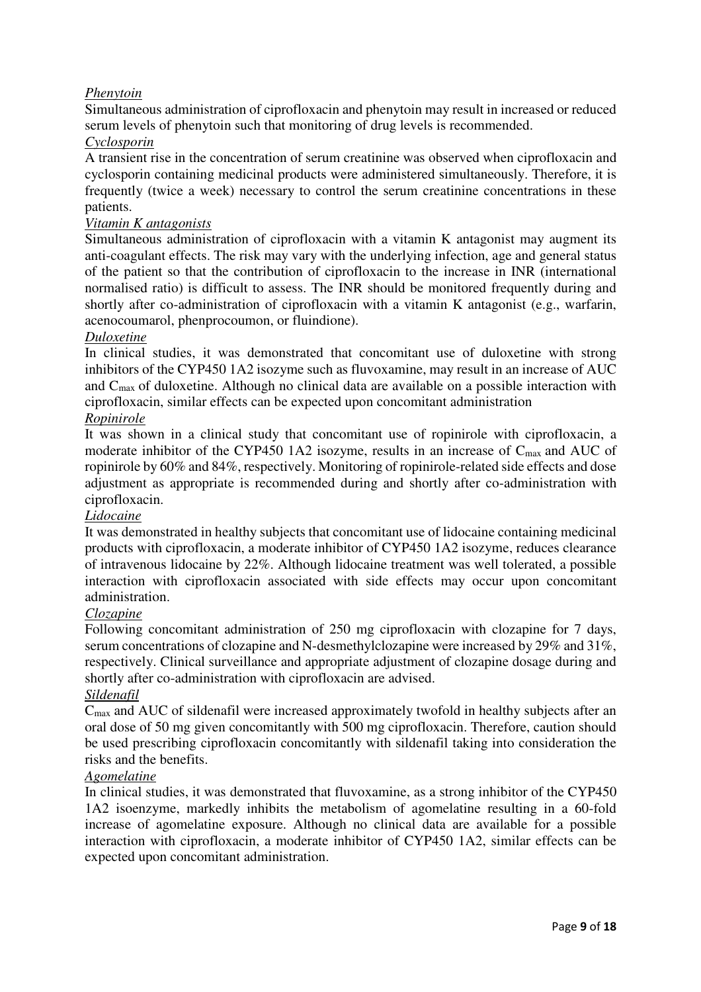## *Phenytoin*

Simultaneous administration of ciprofloxacin and phenytoin may result in increased or reduced serum levels of phenytoin such that monitoring of drug levels is recommended.

## *Cyclosporin*

A transient rise in the concentration of serum creatinine was observed when ciprofloxacin and cyclosporin containing medicinal products were administered simultaneously. Therefore, it is frequently (twice a week) necessary to control the serum creatinine concentrations in these patients.

#### *Vitamin K antagonists*

Simultaneous administration of ciprofloxacin with a vitamin K antagonist may augment its anti-coagulant effects. The risk may vary with the underlying infection, age and general status of the patient so that the contribution of ciprofloxacin to the increase in INR (international normalised ratio) is difficult to assess. The INR should be monitored frequently during and shortly after co-administration of ciprofloxacin with a vitamin K antagonist (e.g., warfarin, acenocoumarol, phenprocoumon, or fluindione).

## *Duloxetine*

In clinical studies, it was demonstrated that concomitant use of duloxetine with strong inhibitors of the CYP450 1A2 isozyme such as fluvoxamine, may result in an increase of AUC and  $C_{\text{max}}$  of duloxetine. Although no clinical data are available on a possible interaction with ciprofloxacin, similar effects can be expected upon concomitant administration

#### *Ropinirole*

It was shown in a clinical study that concomitant use of ropinirole with ciprofloxacin, a moderate inhibitor of the CYP450 1A2 isozyme, results in an increase of C<sub>max</sub> and AUC of ropinirole by 60% and 84%, respectively. Monitoring of ropinirole-related side effects and dose adjustment as appropriate is recommended during and shortly after co-administration with ciprofloxacin.

## *Lidocaine*

It was demonstrated in healthy subjects that concomitant use of lidocaine containing medicinal products with ciprofloxacin, a moderate inhibitor of CYP450 1A2 isozyme, reduces clearance of intravenous lidocaine by 22%. Although lidocaine treatment was well tolerated, a possible interaction with ciprofloxacin associated with side effects may occur upon concomitant administration.

## *Clozapine*

Following concomitant administration of 250 mg ciprofloxacin with clozapine for 7 days, serum concentrations of clozapine and N-desmethylclozapine were increased by 29% and 31%, respectively. Clinical surveillance and appropriate adjustment of clozapine dosage during and shortly after co-administration with ciprofloxacin are advised.

## *Sildenafil*

Cmax and AUC of sildenafil were increased approximately twofold in healthy subjects after an oral dose of 50 mg given concomitantly with 500 mg ciprofloxacin. Therefore, caution should be used prescribing ciprofloxacin concomitantly with sildenafil taking into consideration the risks and the benefits.

## *Agomelatine*

In clinical studies, it was demonstrated that fluvoxamine, as a strong inhibitor of the CYP450 1A2 isoenzyme, markedly inhibits the metabolism of agomelatine resulting in a 60-fold increase of agomelatine exposure. Although no clinical data are available for a possible interaction with ciprofloxacin, a moderate inhibitor of CYP450 1A2, similar effects can be expected upon concomitant administration.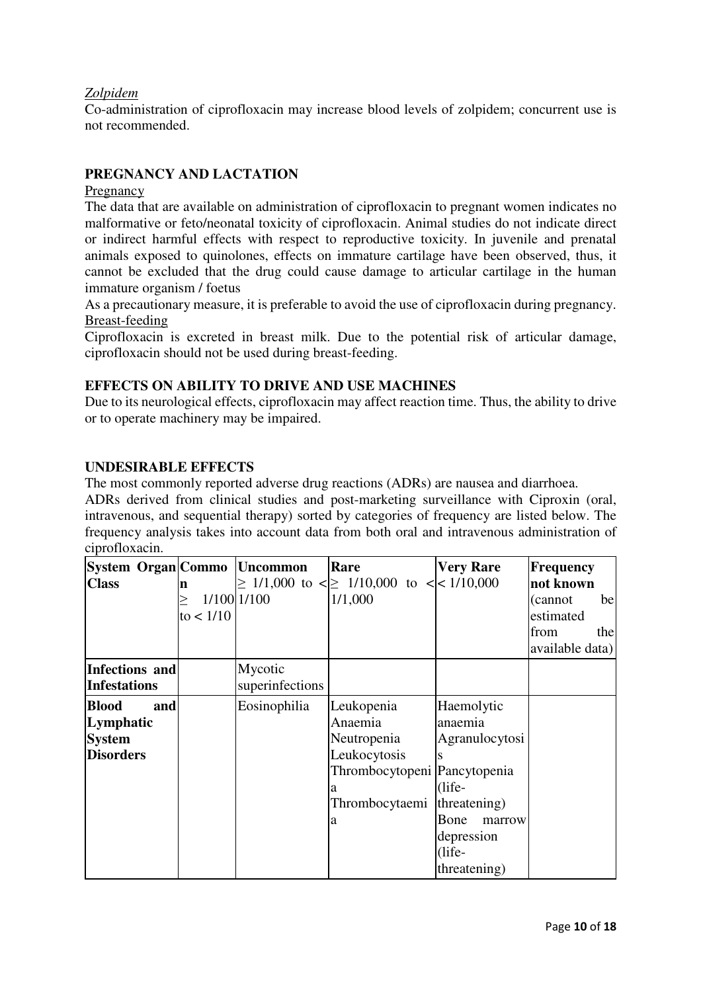## *Zolpidem*

Co-administration of ciprofloxacin may increase blood levels of zolpidem; concurrent use is not recommended.

## **PREGNANCY AND LACTATION**

### Pregnancy

The data that are available on administration of ciprofloxacin to pregnant women indicates no malformative or feto/neonatal toxicity of ciprofloxacin. Animal studies do not indicate direct or indirect harmful effects with respect to reproductive toxicity. In juvenile and prenatal animals exposed to quinolones, effects on immature cartilage have been observed, thus, it cannot be excluded that the drug could cause damage to articular cartilage in the human immature organism / foetus

As a precautionary measure, it is preferable to avoid the use of ciprofloxacin during pregnancy. Breast-feeding

Ciprofloxacin is excreted in breast milk. Due to the potential risk of articular damage, ciprofloxacin should not be used during breast-feeding.

## **EFFECTS ON ABILITY TO DRIVE AND USE MACHINES**

Due to its neurological effects, ciprofloxacin may affect reaction time. Thus, the ability to drive or to operate machinery may be impaired.

## **UNDESIRABLE EFFECTS**

The most commonly reported adverse drug reactions (ADRs) are nausea and diarrhoea. ADRs derived from clinical studies and post-marketing surveillance with Ciproxin (oral, intravenous, and sequential therapy) sorted by categories of frequency are listed below. The frequency analysis takes into account data from both oral and intravenous administration of

| ciprofloxacin.      |           |                 |                                                       |                  |                  |
|---------------------|-----------|-----------------|-------------------------------------------------------|------------------|------------------|
| System Organ Commo  |           | <b>Uncommon</b> | Rare                                                  | <b>Very Rare</b> | <b>Frequency</b> |
| <b>Class</b>        | n         |                 | $\geq$ 1/1,000 to < $\geq$ 1/10,000 to <   < 1/10,000 |                  | not known        |
|                     | >         | 1/100 1/100     | 1/1,000                                               |                  | be<br>(cannot)   |
|                     | to < 1/10 |                 |                                                       |                  | estimated        |
|                     |           |                 |                                                       |                  | from<br>the      |
|                     |           |                 |                                                       |                  | available data)  |
| Infections and      |           | Mycotic         |                                                       |                  |                  |
| <b>Infestations</b> |           | superinfections |                                                       |                  |                  |
| and<br><b>Blood</b> |           | Eosinophilia    | Leukopenia                                            | Haemolytic       |                  |
| Lymphatic           |           |                 | Anaemia                                               | anaemia          |                  |
| <b>System</b>       |           |                 | Neutropenia                                           | Agranulocytosi   |                  |
| <b>Disorders</b>    |           |                 | Leukocytosis                                          |                  |                  |
|                     |           |                 | Thrombocytopeni Pancytopenia                          |                  |                  |
|                     |           |                 | а                                                     | $(life-$         |                  |
|                     |           |                 | Thrombocytaemi                                        | threatening)     |                  |
|                     |           |                 | a                                                     | Bone<br>marrow   |                  |
|                     |           |                 |                                                       | depression       |                  |
|                     |           |                 |                                                       | $(life-$         |                  |
|                     |           |                 |                                                       | threatening)     |                  |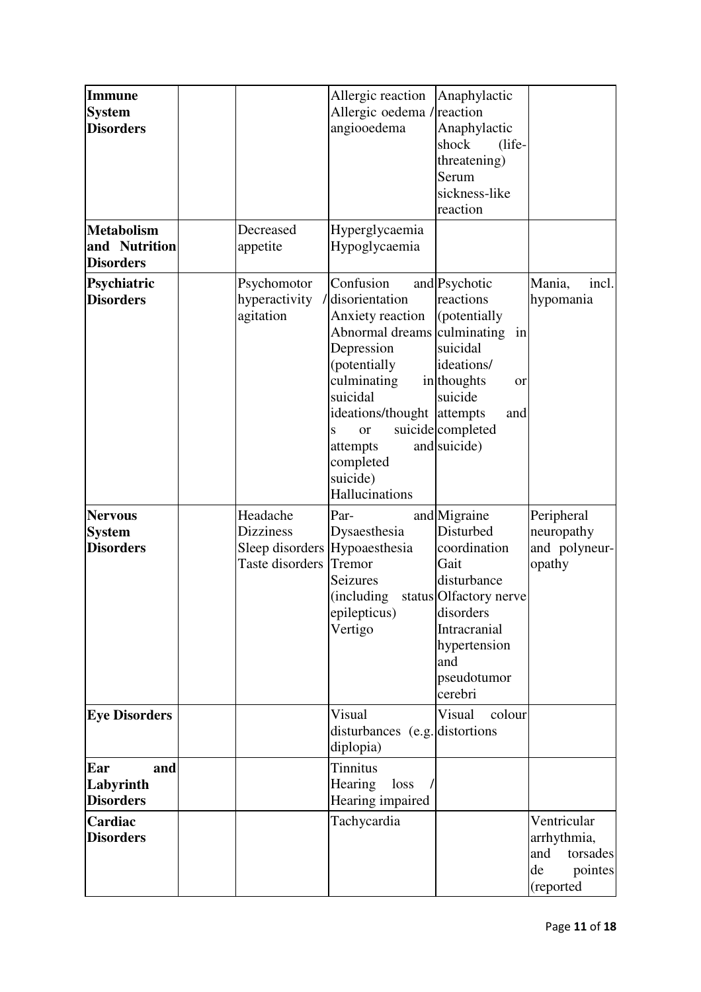| <b>Immune</b><br><b>System</b><br><b>Disorders</b><br><b>Metabolism</b> | Decreased                                       | Allergic reaction<br>Allergic oedema / reaction<br>angiooedema<br>Hyperglycaemia                                                                                                                                                               | Anaphylactic<br>Anaphylactic<br>shock<br>(life-<br>threatening)<br>Serum<br>sickness-like<br>reaction                                                                    |                                                                             |
|-------------------------------------------------------------------------|-------------------------------------------------|------------------------------------------------------------------------------------------------------------------------------------------------------------------------------------------------------------------------------------------------|--------------------------------------------------------------------------------------------------------------------------------------------------------------------------|-----------------------------------------------------------------------------|
| and Nutrition<br><b>Disorders</b>                                       | appetite                                        | Hypoglycaemia                                                                                                                                                                                                                                  |                                                                                                                                                                          |                                                                             |
| Psychiatric<br><b>Disorders</b>                                         | Psychomotor<br>hyperactivity<br>agitation       | Confusion<br>disorientation<br>Anxiety reaction<br>Abnormal dreams culminating<br>Depression<br>(potentially<br>culminating<br>suicidal<br>ideations/thought attempts<br>S<br><b>or</b><br>attempts<br>completed<br>suicide)<br>Hallucinations | and Psychotic<br>reactions<br>(potentially<br>in<br>suicidal<br>ideations/<br>in thoughts<br>or<br>suicide<br>and<br>suicide completed<br>and suicide)                   | Mania,<br>incl.<br>hypomania                                                |
| <b>Nervous</b><br><b>System</b><br><b>Disorders</b>                     | Headache<br><b>Dizziness</b><br>Taste disorders | Par-<br>Dysaesthesia<br>Sleep disorders Hypoaesthesia<br>Tremor<br>Seizures<br>(including<br>epilepticus)<br>Vertigo                                                                                                                           | and Migraine<br>Disturbed<br>coordination<br>Gait<br>disturbance<br>status Olfactory nerve<br>disorders<br>Intracranial<br>hypertension<br>and<br>pseudotumor<br>cerebri | Peripheral<br>neuropathy<br>and polyneur-<br>opathy                         |
| <b>Eye Disorders</b>                                                    |                                                 | Visual<br>disturbances (e.g. distortions)<br>diplopia)                                                                                                                                                                                         | Visual<br>colour                                                                                                                                                         |                                                                             |
| Ear<br>and<br>Labyrinth<br><b>Disorders</b>                             |                                                 | <b>Tinnitus</b><br>Hearing<br>loss<br>Hearing impaired                                                                                                                                                                                         |                                                                                                                                                                          |                                                                             |
| Cardiac<br><b>Disorders</b>                                             |                                                 | Tachycardia                                                                                                                                                                                                                                    |                                                                                                                                                                          | Ventricular<br>arrhythmia,<br>and<br>torsades<br>de<br>pointes<br>(reported |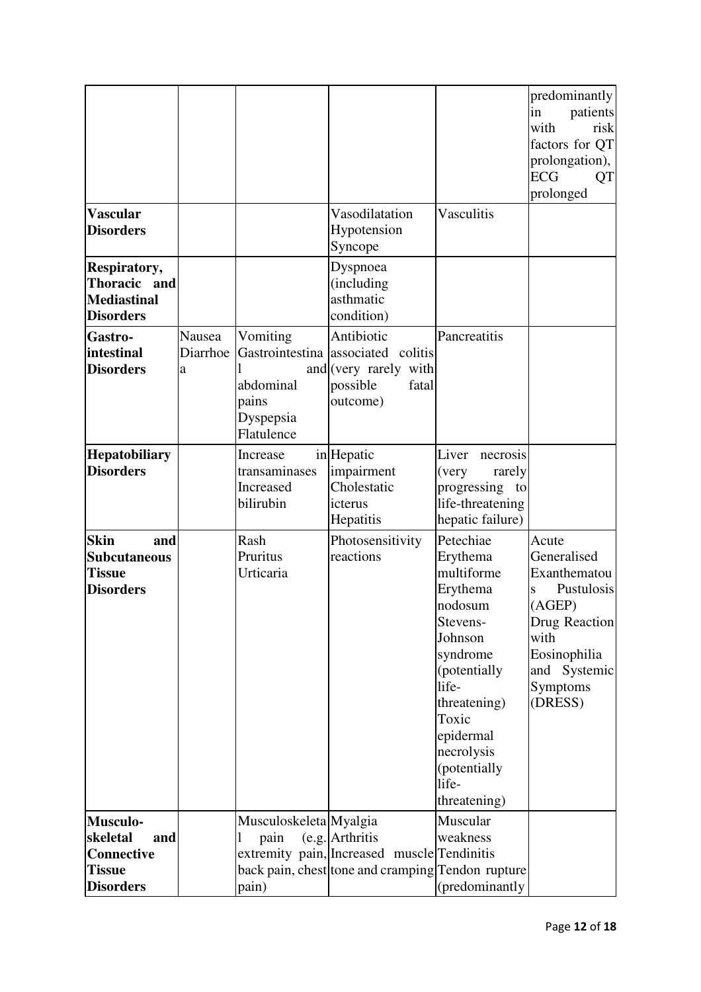| <b>Vascular</b>                                                                       |                         |                                                           | Vasodilatation                                                                                                      | Vasculitis                                                                                                                                                                                                           | predominantly<br>patients<br>in<br>with<br>risk<br>factors for QT<br>prolongation),<br><b>ECG</b><br>QT<br>prolonged                              |
|---------------------------------------------------------------------------------------|-------------------------|-----------------------------------------------------------|---------------------------------------------------------------------------------------------------------------------|----------------------------------------------------------------------------------------------------------------------------------------------------------------------------------------------------------------------|---------------------------------------------------------------------------------------------------------------------------------------------------|
| <b>Disorders</b>                                                                      |                         |                                                           | Hypotension<br>Syncope                                                                                              |                                                                                                                                                                                                                      |                                                                                                                                                   |
| Respiratory,<br>Thoracic and<br><b>Mediastinal</b><br><b>Disorders</b>                |                         |                                                           | Dyspnoea<br>(including<br>asthmatic<br>condition)                                                                   |                                                                                                                                                                                                                      |                                                                                                                                                   |
| Gastro-<br>intestinal<br><b>Disorders</b>                                             | Nausea<br>Diarrhoe<br>a | Vomiting<br>abdominal<br>pains<br>Dyspepsia<br>Flatulence | Antibiotic<br>Gastrointestina associated colitis<br>and (very rarely with<br>possible<br>fatal<br>outcome)          | Pancreatitis                                                                                                                                                                                                         |                                                                                                                                                   |
| <b>Hepatobiliary</b><br><b>Disorders</b>                                              |                         | Increase<br>transaminases<br>Increased<br>bilirubin       | in Hepatic<br>impairment<br>Cholestatic<br>icterus<br>Hepatitis                                                     | Liver<br>necrosis<br>(very<br>rarely<br>progressing<br>to<br>life-threatening<br>hepatic failure)                                                                                                                    |                                                                                                                                                   |
| <b>Skin</b><br>and<br><b>Subcutaneous</b><br><b>Tissue</b><br><b>Disorders</b>        |                         | Rash<br>Pruritus<br>Urticaria                             | Photosensitivity<br>reactions                                                                                       | Petechiae<br>Erythema<br>multiforme<br>Erythema<br>nodosum<br>Stevens-<br>Johnson<br>syndrome<br>(potentially)<br>life-<br>threatening)<br>Toxic<br>epidermal<br>necrolysis<br>(potentially<br>life-<br>threatening) | Acute<br>Generalised<br>Exanthematou<br>Pustulosis<br>S<br>(AGEP)<br>Drug Reaction<br>with<br>Eosinophilia<br>and Systemic<br>Symptoms<br>(DRESS) |
| Musculo-<br>skeletal<br>and<br><b>Connective</b><br><b>Tissue</b><br><b>Disorders</b> |                         | Musculoskeleta Myalgia<br>pain<br>pain)                   | (e.g. Arthritis<br>extremity pain, Increased muscle Tendinitis<br>back pain, chest tone and cramping Tendon rupture | Muscular<br>weakness<br>(predominantly                                                                                                                                                                               |                                                                                                                                                   |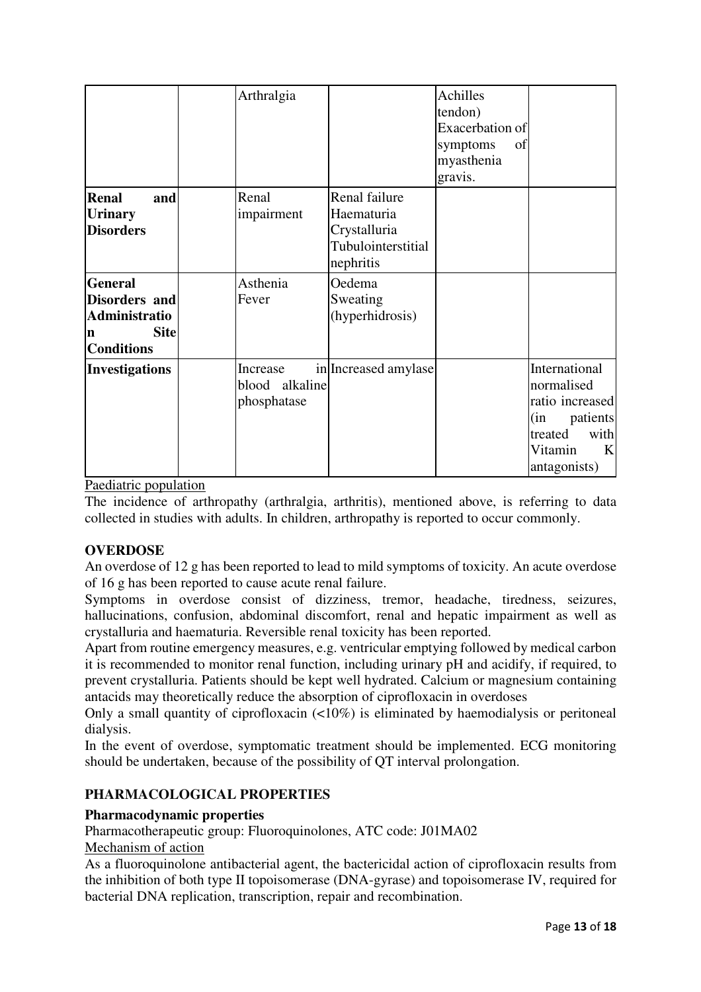|                                                                                           | Arthralgia                                |                                                                                | Achilles<br>tendon)<br>Exacerbation of<br>symptoms<br>of<br>myasthenia<br>gravis. |                                                                                                                      |
|-------------------------------------------------------------------------------------------|-------------------------------------------|--------------------------------------------------------------------------------|-----------------------------------------------------------------------------------|----------------------------------------------------------------------------------------------------------------------|
| <b>Renal</b><br>and<br><b>Urinary</b><br><b>Disorders</b>                                 | Renal<br>impairment                       | Renal failure<br>Haematuria<br>Crystalluria<br>Tubulointerstitial<br>nephritis |                                                                                   |                                                                                                                      |
| <b>General</b><br>Disorders and<br>Administratio<br><b>Site</b><br>n<br><b>Conditions</b> | Asthenia<br>Fever                         | Oedema<br>Sweating<br>(hyperhidrosis)                                          |                                                                                   |                                                                                                                      |
| <b>Investigations</b>                                                                     | Increase<br>blood alkaline<br>phosphatase | in Increased amylase                                                           |                                                                                   | International<br>normalised<br>ratio increased<br>(in<br>patients<br>with<br>treated<br>Vitamin<br>K<br>antagonists) |

Paediatric population

The incidence of arthropathy (arthralgia, arthritis), mentioned above, is referring to data collected in studies with adults. In children, arthropathy is reported to occur commonly.

## **OVERDOSE**

An overdose of 12 g has been reported to lead to mild symptoms of toxicity. An acute overdose of 16 g has been reported to cause acute renal failure.

Symptoms in overdose consist of dizziness, tremor, headache, tiredness, seizures, hallucinations, confusion, abdominal discomfort, renal and hepatic impairment as well as crystalluria and haematuria. Reversible renal toxicity has been reported.

Apart from routine emergency measures, e.g. ventricular emptying followed by medical carbon it is recommended to monitor renal function, including urinary pH and acidify, if required, to prevent crystalluria. Patients should be kept well hydrated. Calcium or magnesium containing antacids may theoretically reduce the absorption of ciprofloxacin in overdoses

Only a small quantity of ciprofloxacin (<10%) is eliminated by haemodialysis or peritoneal dialysis.

In the event of overdose, symptomatic treatment should be implemented. ECG monitoring should be undertaken, because of the possibility of QT interval prolongation.

## **PHARMACOLOGICAL PROPERTIES**

## **Pharmacodynamic properties**

Pharmacotherapeutic group: Fluoroquinolones, ATC code: J01MA02

## Mechanism of action

As a fluoroquinolone antibacterial agent, the bactericidal action of ciprofloxacin results from the inhibition of both type II topoisomerase (DNA-gyrase) and topoisomerase IV, required for bacterial DNA replication, transcription, repair and recombination.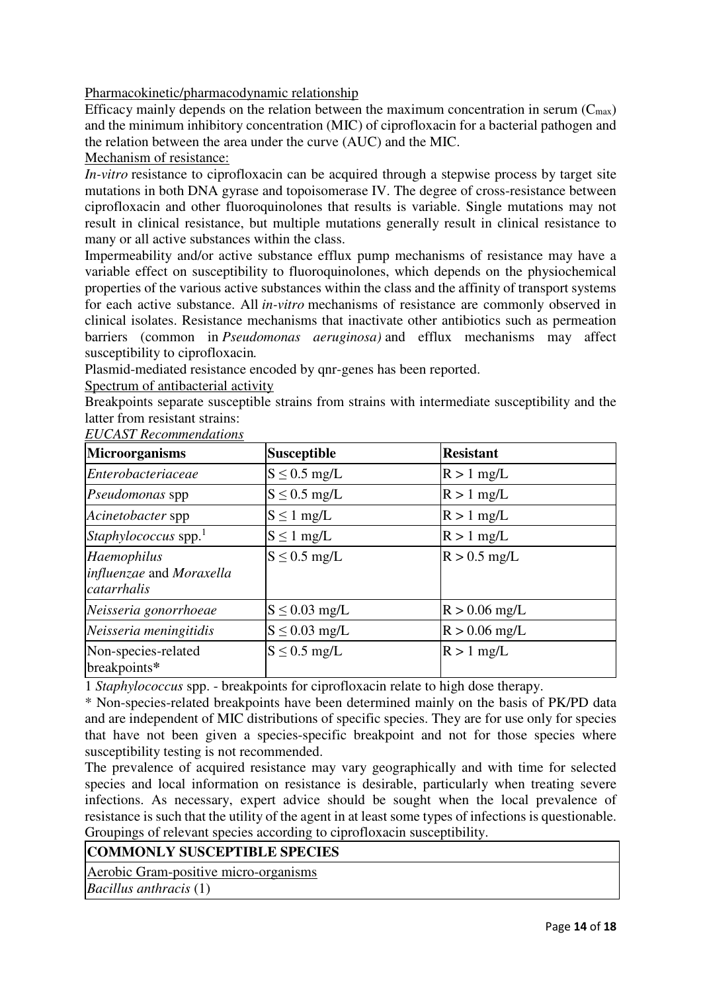Pharmacokinetic/pharmacodynamic relationship

Efficacy mainly depends on the relation between the maximum concentration in serum  $(C_{\text{max}})$ and the minimum inhibitory concentration (MIC) of ciprofloxacin for a bacterial pathogen and the relation between the area under the curve (AUC) and the MIC.

Mechanism of resistance:

*In-vitro* resistance to ciprofloxacin can be acquired through a stepwise process by target site mutations in both DNA gyrase and topoisomerase IV. The degree of cross-resistance between ciprofloxacin and other fluoroquinolones that results is variable. Single mutations may not result in clinical resistance, but multiple mutations generally result in clinical resistance to many or all active substances within the class.

Impermeability and/or active substance efflux pump mechanisms of resistance may have a variable effect on susceptibility to fluoroquinolones, which depends on the physiochemical properties of the various active substances within the class and the affinity of transport systems for each active substance. All *in-vitro* mechanisms of resistance are commonly observed in clinical isolates. Resistance mechanisms that inactivate other antibiotics such as permeation barriers (common in *Pseudomonas aeruginosa)* and efflux mechanisms may affect susceptibility to ciprofloxacin*.*

Plasmid-mediated resistance encoded by qnr-genes has been reported.

Spectrum of antibacterial activity

Breakpoints separate susceptible strains from strains with intermediate susceptibility and the latter from resistant strains:

*EUCAST Recommendations*

| <b>Microorganisms</b>                                  | <b>Susceptible</b> | <b>Resistant</b> |
|--------------------------------------------------------|--------------------|------------------|
| Enterobacteriaceae                                     | $S \leq 0.5$ mg/L  | $R > 1$ mg/L     |
| Pseudomonas spp                                        | $S \leq 0.5$ mg/L  | $R > 1$ mg/L     |
| Acinetobacter spp                                      | $S \leq 1$ mg/L    | $R > 1$ mg/L     |
| Staphylococcus spp. $1$                                | $S \leq 1$ mg/L    | $R > 1$ mg/L     |
| Haemophilus<br>influenzae and Moraxella<br>catarrhalis | $S \leq 0.5$ mg/L  | $R > 0.5$ mg/L   |
| Neisseria gonorrhoeae                                  | $S \leq 0.03$ mg/L | $R > 0.06$ mg/L  |
| Neisseria meningitidis                                 | $S \leq 0.03$ mg/L | $R > 0.06$ mg/L  |
| Non-species-related<br>breakpoints*                    | $S \leq 0.5$ mg/L  | $R > 1$ mg/L     |

1 *Staphylococcus* spp. - breakpoints for ciprofloxacin relate to high dose therapy.

\* Non-species-related breakpoints have been determined mainly on the basis of PK/PD data and are independent of MIC distributions of specific species. They are for use only for species that have not been given a species-specific breakpoint and not for those species where susceptibility testing is not recommended.

The prevalence of acquired resistance may vary geographically and with time for selected species and local information on resistance is desirable, particularly when treating severe infections. As necessary, expert advice should be sought when the local prevalence of resistance is such that the utility of the agent in at least some types of infections is questionable. Groupings of relevant species according to ciprofloxacin susceptibility.

## **COMMONLY SUSCEPTIBLE SPECIES**

Aerobic Gram-positive micro-organisms

*Bacillus anthracis* (1)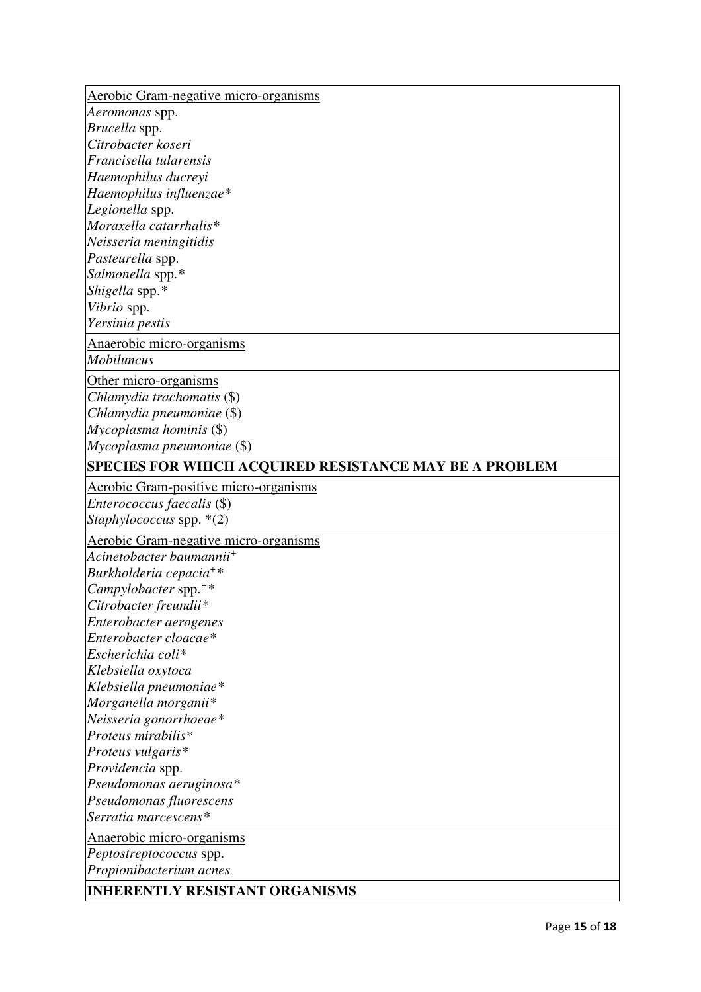| Aerobic Gram-negative micro-organisms                                                                                                                                                                                                                                                                                                                                                                                                                     |  |
|-----------------------------------------------------------------------------------------------------------------------------------------------------------------------------------------------------------------------------------------------------------------------------------------------------------------------------------------------------------------------------------------------------------------------------------------------------------|--|
|                                                                                                                                                                                                                                                                                                                                                                                                                                                           |  |
| Aeromonas spp.                                                                                                                                                                                                                                                                                                                                                                                                                                            |  |
| Brucella spp.                                                                                                                                                                                                                                                                                                                                                                                                                                             |  |
| Citrobacter koseri                                                                                                                                                                                                                                                                                                                                                                                                                                        |  |
| Francisella tularensis                                                                                                                                                                                                                                                                                                                                                                                                                                    |  |
| Haemophilus ducreyi                                                                                                                                                                                                                                                                                                                                                                                                                                       |  |
| Haemophilus influenzae*                                                                                                                                                                                                                                                                                                                                                                                                                                   |  |
| Legionella spp.                                                                                                                                                                                                                                                                                                                                                                                                                                           |  |
| Moraxella catarrhalis*                                                                                                                                                                                                                                                                                                                                                                                                                                    |  |
| Neisseria meningitidis                                                                                                                                                                                                                                                                                                                                                                                                                                    |  |
| Pasteurella spp.                                                                                                                                                                                                                                                                                                                                                                                                                                          |  |
| Salmonella spp.*                                                                                                                                                                                                                                                                                                                                                                                                                                          |  |
| Shigella spp.*                                                                                                                                                                                                                                                                                                                                                                                                                                            |  |
| Vibrio spp.                                                                                                                                                                                                                                                                                                                                                                                                                                               |  |
| Yersinia pestis                                                                                                                                                                                                                                                                                                                                                                                                                                           |  |
| Anaerobic micro-organisms                                                                                                                                                                                                                                                                                                                                                                                                                                 |  |
| <b>Mobiluncus</b>                                                                                                                                                                                                                                                                                                                                                                                                                                         |  |
| Other micro-organisms                                                                                                                                                                                                                                                                                                                                                                                                                                     |  |
| Chlamydia trachomatis (\$)                                                                                                                                                                                                                                                                                                                                                                                                                                |  |
| Chlamydia pneumoniae (\$)                                                                                                                                                                                                                                                                                                                                                                                                                                 |  |
| Mycoplasma hominis (\$)                                                                                                                                                                                                                                                                                                                                                                                                                                   |  |
| Mycoplasma pneumoniae (\$)                                                                                                                                                                                                                                                                                                                                                                                                                                |  |
| SPECIES FOR WHICH ACQUIRED RESISTANCE MAY BE A PROBLEM                                                                                                                                                                                                                                                                                                                                                                                                    |  |
| Aerobic Gram-positive micro-organisms                                                                                                                                                                                                                                                                                                                                                                                                                     |  |
| <i>Enterococcus faecalis</i> (\$)                                                                                                                                                                                                                                                                                                                                                                                                                         |  |
| Staphylococcus spp. *(2)                                                                                                                                                                                                                                                                                                                                                                                                                                  |  |
|                                                                                                                                                                                                                                                                                                                                                                                                                                                           |  |
| <b>Aerobic Gram-negative micro-organisms</b>                                                                                                                                                                                                                                                                                                                                                                                                              |  |
|                                                                                                                                                                                                                                                                                                                                                                                                                                                           |  |
|                                                                                                                                                                                                                                                                                                                                                                                                                                                           |  |
|                                                                                                                                                                                                                                                                                                                                                                                                                                                           |  |
| Citrobacter freundii*                                                                                                                                                                                                                                                                                                                                                                                                                                     |  |
|                                                                                                                                                                                                                                                                                                                                                                                                                                                           |  |
|                                                                                                                                                                                                                                                                                                                                                                                                                                                           |  |
|                                                                                                                                                                                                                                                                                                                                                                                                                                                           |  |
|                                                                                                                                                                                                                                                                                                                                                                                                                                                           |  |
|                                                                                                                                                                                                                                                                                                                                                                                                                                                           |  |
|                                                                                                                                                                                                                                                                                                                                                                                                                                                           |  |
|                                                                                                                                                                                                                                                                                                                                                                                                                                                           |  |
|                                                                                                                                                                                                                                                                                                                                                                                                                                                           |  |
|                                                                                                                                                                                                                                                                                                                                                                                                                                                           |  |
|                                                                                                                                                                                                                                                                                                                                                                                                                                                           |  |
|                                                                                                                                                                                                                                                                                                                                                                                                                                                           |  |
|                                                                                                                                                                                                                                                                                                                                                                                                                                                           |  |
|                                                                                                                                                                                                                                                                                                                                                                                                                                                           |  |
| Acinetobacter baumannii <sup>+</sup><br>Burkholderia cepacia <sup>+*</sup><br>Campylobacter spp. $**$<br>Enterobacter aerogenes<br>Enterobacter cloacae*<br>Escherichia coli*<br>Klebsiella oxytoca<br>Klebsiella pneumoniae*<br>Morganella morganii*<br>Neisseria gonorrhoeae*<br>Proteus mirabilis*<br>Proteus vulgaris*<br>Providencia spp.<br>Pseudomonas aeruginosa*<br>Pseudomonas fluorescens<br>Serratia marcescens*<br>Anaerobic micro-organisms |  |
|                                                                                                                                                                                                                                                                                                                                                                                                                                                           |  |
| Peptostreptococcus spp.<br>Propionibacterium acnes                                                                                                                                                                                                                                                                                                                                                                                                        |  |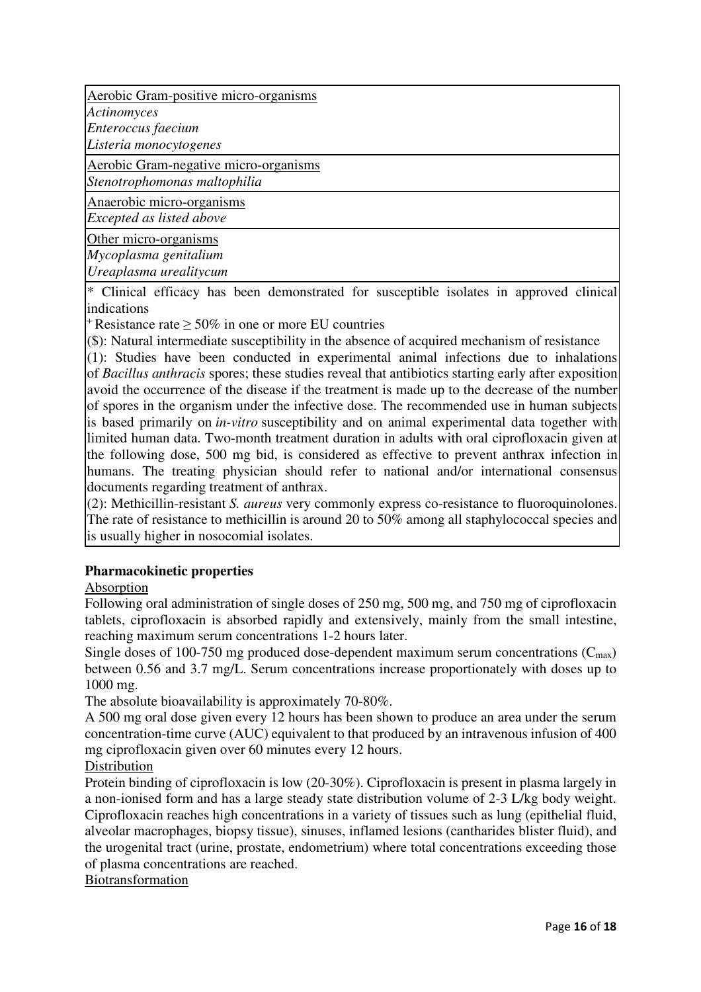Aerobic Gram-positive micro-organisms

*Actinomyces*

*Enteroccus faecium*

*Listeria monocytogenes*

Aerobic Gram-negative micro-organisms *Stenotrophomonas maltophilia*

Anaerobic micro-organisms *Excepted as listed above*

Other micro-organisms *Mycoplasma genitalium Ureaplasma urealitycum*

\* Clinical efficacy has been demonstrated for susceptible isolates in approved clinical indications

 $+$ Resistance rate  $> 50\%$  in one or more EU countries

(\$): Natural intermediate susceptibility in the absence of acquired mechanism of resistance

(1): Studies have been conducted in experimental animal infections due to inhalations of *Bacillus anthracis* spores; these studies reveal that antibiotics starting early after exposition avoid the occurrence of the disease if the treatment is made up to the decrease of the number of spores in the organism under the infective dose. The recommended use in human subjects is based primarily on *in-vitro* susceptibility and on animal experimental data together with limited human data. Two-month treatment duration in adults with oral ciprofloxacin given at the following dose, 500 mg bid, is considered as effective to prevent anthrax infection in humans. The treating physician should refer to national and/or international consensus documents regarding treatment of anthrax.

(2): Methicillin-resistant *S. aureus* very commonly express co-resistance to fluoroquinolones. The rate of resistance to methicillin is around 20 to 50% among all staphylococcal species and is usually higher in nosocomial isolates.

## **Pharmacokinetic properties**

Absorption

Following oral administration of single doses of 250 mg, 500 mg, and 750 mg of ciprofloxacin tablets, ciprofloxacin is absorbed rapidly and extensively, mainly from the small intestine, reaching maximum serum concentrations 1-2 hours later.

Single doses of 100-750 mg produced dose-dependent maximum serum concentrations  $(C_{\text{max}})$ between 0.56 and 3.7 mg/L. Serum concentrations increase proportionately with doses up to 1000 mg.

The absolute bioavailability is approximately 70-80%.

A 500 mg oral dose given every 12 hours has been shown to produce an area under the serum concentration-time curve (AUC) equivalent to that produced by an intravenous infusion of 400 mg ciprofloxacin given over 60 minutes every 12 hours.

Distribution

Protein binding of ciprofloxacin is low (20-30%). Ciprofloxacin is present in plasma largely in a non-ionised form and has a large steady state distribution volume of 2-3 L/kg body weight. Ciprofloxacin reaches high concentrations in a variety of tissues such as lung (epithelial fluid, alveolar macrophages, biopsy tissue), sinuses, inflamed lesions (cantharides blister fluid), and the urogenital tract (urine, prostate, endometrium) where total concentrations exceeding those of plasma concentrations are reached.

Biotransformation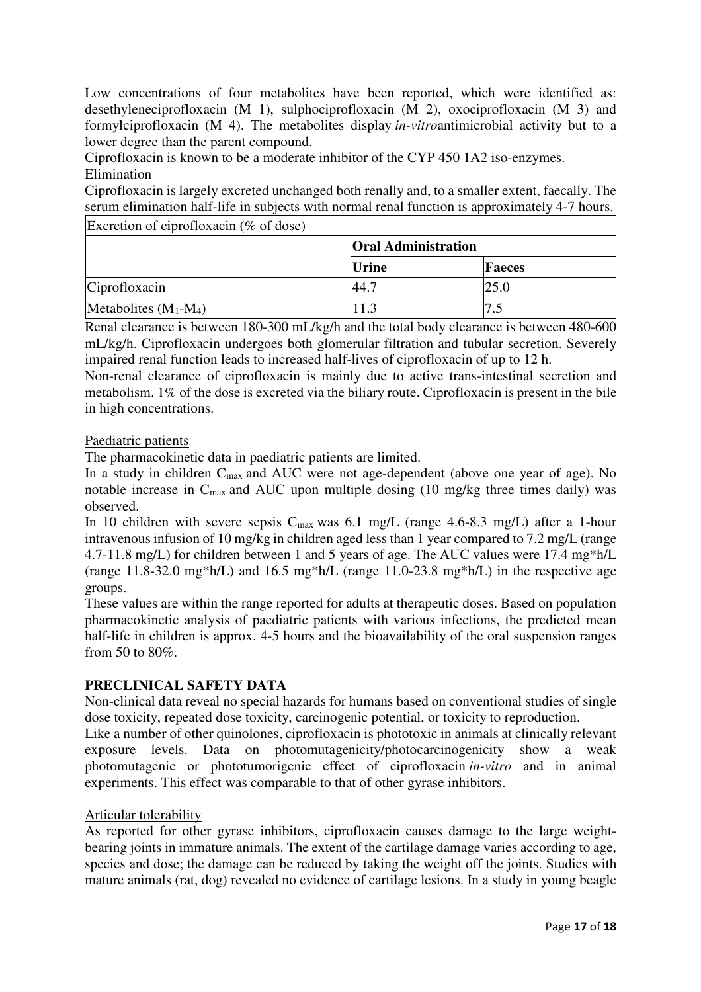Low concentrations of four metabolites have been reported, which were identified as: desethyleneciprofloxacin (M 1), sulphociprofloxacin (M 2), oxociprofloxacin (M 3) and formylciprofloxacin (M 4). The metabolites display *in-vitro*antimicrobial activity but to a lower degree than the parent compound.

Ciprofloxacin is known to be a moderate inhibitor of the CYP 450 1A2 iso-enzymes. Elimination

Ciprofloxacin is largely excreted unchanged both renally and, to a smaller extent, faecally. The serum elimination half-life in subjects with normal renal function is approximately 4-7 hours.

Excretion of ciprofloxacin (% of dose)

|                         | <b>Oral Administration</b> |        |
|-------------------------|----------------------------|--------|
|                         | <i><u><b>Urine</b></u></i> | Faeces |
| Ciprofloxacin           | 144.7                      | 25.0   |
| Metabolites $(M_1-M_4)$ |                            | ں و    |

Renal clearance is between 180-300 mL/kg/h and the total body clearance is between 480-600 mL/kg/h. Ciprofloxacin undergoes both glomerular filtration and tubular secretion. Severely impaired renal function leads to increased half-lives of ciprofloxacin of up to 12 h.

Non-renal clearance of ciprofloxacin is mainly due to active trans-intestinal secretion and metabolism. 1% of the dose is excreted via the biliary route. Ciprofloxacin is present in the bile in high concentrations.

## Paediatric patients

The pharmacokinetic data in paediatric patients are limited.

In a study in children C<sub>max</sub> and AUC were not age-dependent (above one year of age). No notable increase in Cmax and AUC upon multiple dosing (10 mg/kg three times daily) was observed.

In 10 children with severe sepsis  $C_{\text{max}}$  was 6.1 mg/L (range 4.6-8.3 mg/L) after a 1-hour intravenous infusion of 10 mg/kg in children aged less than 1 year compared to 7.2 mg/L (range 4.7-11.8 mg/L) for children between 1 and 5 years of age. The AUC values were 17.4 mg\*h/L (range  $11.8-32.0$  mg\*h/L) and  $16.5$  mg\*h/L (range  $11.0-23.8$  mg\*h/L) in the respective age groups.

These values are within the range reported for adults at therapeutic doses. Based on population pharmacokinetic analysis of paediatric patients with various infections, the predicted mean half-life in children is approx. 4-5 hours and the bioavailability of the oral suspension ranges from 50 to 80%.

## **PRECLINICAL SAFETY DATA**

Non-clinical data reveal no special hazards for humans based on conventional studies of single dose toxicity, repeated dose toxicity, carcinogenic potential, or toxicity to reproduction.

Like a number of other quinolones, ciprofloxacin is phototoxic in animals at clinically relevant exposure levels. Data on photomutagenicity/photocarcinogenicity show a weak photomutagenic or phototumorigenic effect of ciprofloxacin *in-vitro* and in animal experiments. This effect was comparable to that of other gyrase inhibitors.

## Articular tolerability

As reported for other gyrase inhibitors, ciprofloxacin causes damage to the large weightbearing joints in immature animals. The extent of the cartilage damage varies according to age, species and dose; the damage can be reduced by taking the weight off the joints. Studies with mature animals (rat, dog) revealed no evidence of cartilage lesions. In a study in young beagle